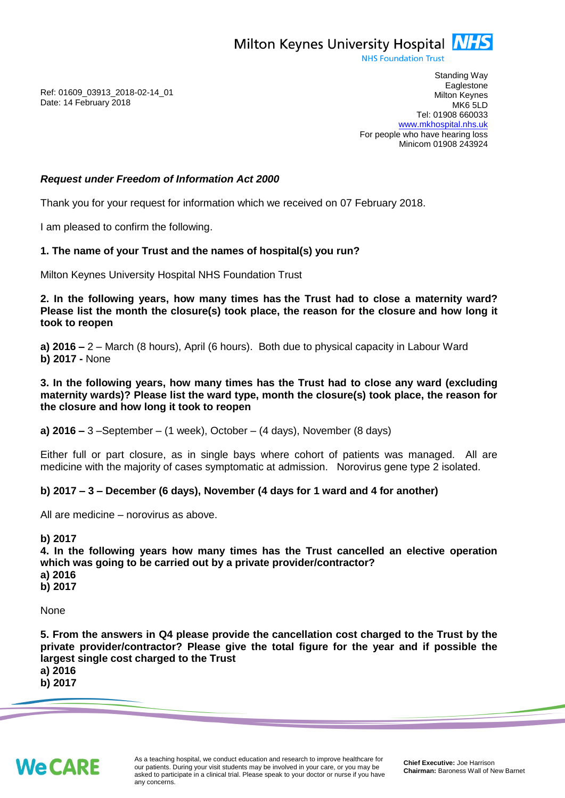Milton Keynes University Hospital **NHS** 

**NHS Foundation Trust** 

Ref: 01609\_03913\_2018-02-14\_01 Date: 14 February 2018

Standing Way **Eaglestone** Milton Keynes MK6 5LD Tel: 01908 660033 [www.mkhospital.nhs.uk](http://www.mkhospital.nhs.uk/) For people who have hearing loss Minicom 01908 243924

## *Request under Freedom of Information Act 2000*

Thank you for your request for information which we received on 07 February 2018.

I am pleased to confirm the following.

## **1. The name of your Trust and the names of hospital(s) you run?**

Milton Keynes University Hospital NHS Foundation Trust

**2. In the following years, how many times has the Trust had to close a maternity ward? Please list the month the closure(s) took place, the reason for the closure and how long it took to reopen**

**a) 2016 –** 2 – March (8 hours), April (6 hours). Both due to physical capacity in Labour Ward **b) 2017 -** None

**3. In the following years, how many times has the Trust had to close any ward (excluding maternity wards)? Please list the ward type, month the closure(s) took place, the reason for the closure and how long it took to reopen**

**a) 2016 –** 3 –September – (1 week), October – (4 days), November (8 days)

Either full or part closure, as in single bays where cohort of patients was managed. All are medicine with the majority of cases symptomatic at admission. Norovirus gene type 2 isolated.

## **b) 2017 – 3 – December (6 days), November (4 days for 1 ward and 4 for another)**

All are medicine – norovirus as above.

**b) 2017 4. In the following years how many times has the Trust cancelled an elective operation which was going to be carried out by a private provider/contractor? a) 2016 b) 2017**

None

**5. From the answers in Q4 please provide the cancellation cost charged to the Trust by the private provider/contractor? Please give the total figure for the year and if possible the largest single cost charged to the Trust**

**a) 2016 b) 2017**